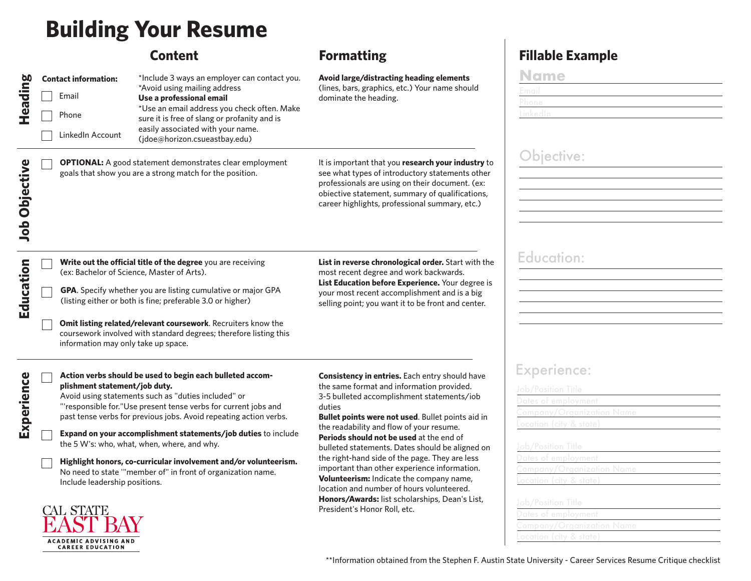# **Building Your Resume**

\*Avoid using mailing address

\*Include 3 ways an employer can contact you.

\*Use an email address you check often. Make sure it is free of slang or profanity and is easily associated with your name. (jdoe@horizon.csueastbay.edu)

### **Avoid large/distracting heading elements**

Email **Use a professional email** email dominate the heading. (lines, bars, graphics, etc.) Your name should

**OPTIONAL:** A good statement demonstrates clear employment goals that show you are a strong match for the position.

It is important that you **research your industry** to see what types of introductory statements other professionals are using on their document. (ex: obiective statement, summary of qualifications, career highlights, professional summary, etc.)

**List in reverse chronological order.** Start with the most recent degree and work backwards. **List Education before Experience.** Your degree is your most recent accomplishment and is a big selling point; you want it to be front and center.

**Write out the official title of the degree** you are receiving (ex: Bachelor of Science, Master of Arts).

**GPA**. Specify whether you are listing cumulative or major GPA (listing either or both is fine; preferable 3.0 or higher)

**Omit listing related/relevant coursework**. Recruiters know the coursework involved with standard degrees; therefore listing this information may only take up space.

| a |
|---|
|   |
|   |
| c |
|   |
|   |
|   |
|   |
|   |

**Heading**

Phone

**Contact information:** 

LinkedIn Account

 **Job Objective**

**Job Objective** 

**Education**

Education

**Action verbs should be used to begin each bulleted accomplishment statement/job duty.**

Avoid using statements such as "duties included" or "'responsible for."Use present tense verbs for current jobs and past tense verbs for previous jobs. Avoid repeating action verbs.

**Expand on your accomplishment statements/job duties** to include the 5 W's: who, what, when, where, and why.

**Highlight honors, co-curricular involvement and/or volunteerism.** No need to state '"member of" in front of organization name. Include leadership positions.

CAL STATE **ACADEMIC ADVISING AND CAREER EDUCATION** 

**Consistency in entries.** Each entry should have the same format and information provided. 3-5 bulleted accomplishment statements/iob duties

**Bullet points were not used**. Bullet points aid in the readability and flow of your resume. **Periods should not be used** at the end of bulleted statements. Dates should be aligned on the right-hand side of the page. They are less important than other experience information. **Volunteerism:** Indicate the company name, location and number of hours volunteered. **Honors/Awards:** list scholarships, Dean's List, President's Honor Roll, etc.

## **Content Formatting Fillable Example**

| ame<br>v.                                 |  |  |
|-------------------------------------------|--|--|
| $\sim$ $\sim$ 1<br>$\sim$<br><b>Email</b> |  |  |
| Phone                                     |  |  |
| inkodin                                   |  |  |

# Objective:

### Education:

### Experience: